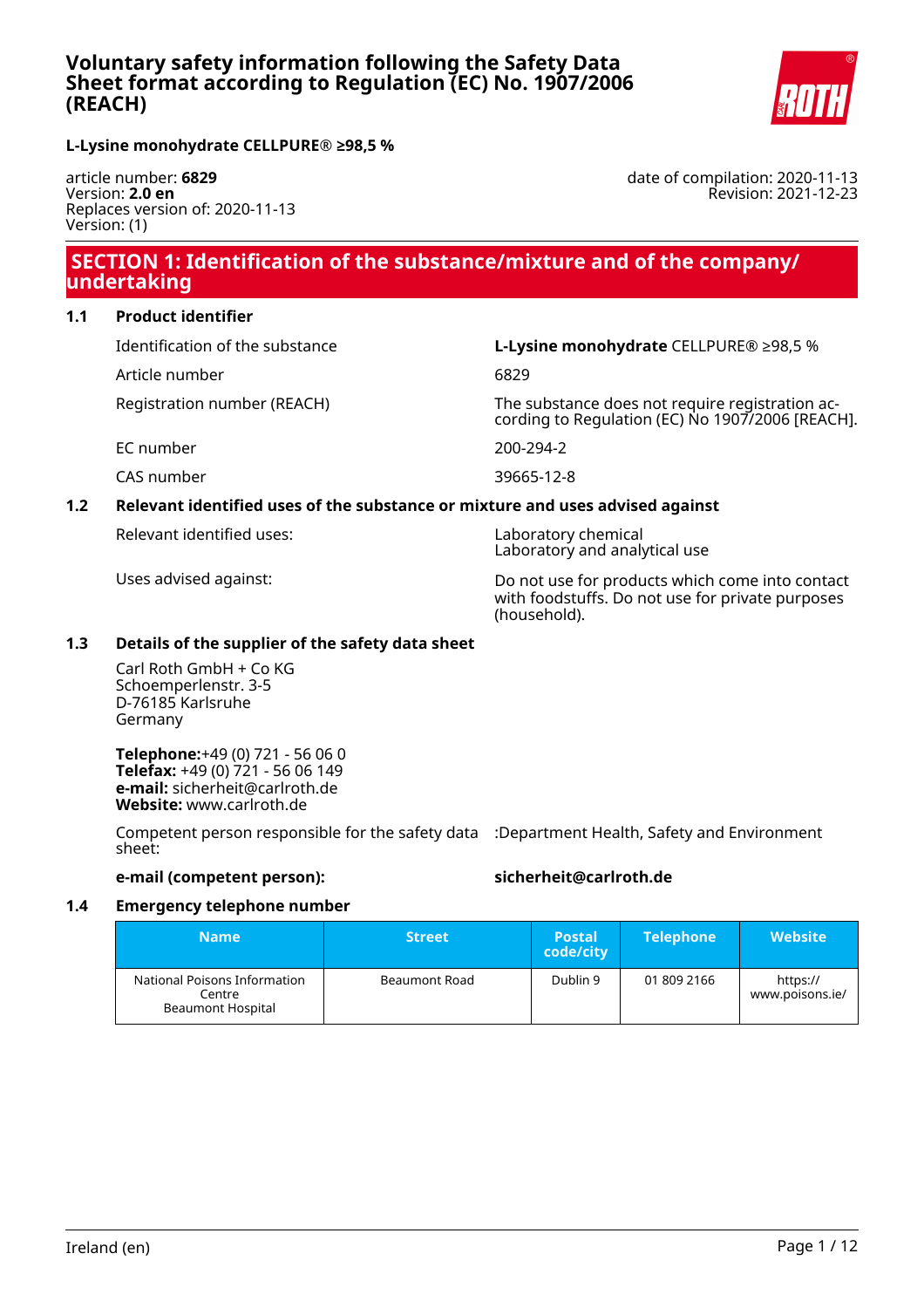

date of compilation: 2020-11-13

Revision: 2021-12-23

**L-Lysine monohydrate CELLPURE® ≥98,5 %**

article number: **6829** Version: **2.0 en** Replaces version of: 2020-11-13 Version: (1)

# **SECTION 1: Identification of the substance/mixture and of the company/ undertaking**

### **1.1 Product identifier**

Identification of the substance **L-Lysine monohydrate** CELLPURE® ≥98,5 %

Article number 6829

Registration number (REACH) The substance does not require registration according to Regulation (EC) No 1907/2006 [REACH].

EC number 200-294-2

CAS number 39665-12-8

## **1.2 Relevant identified uses of the substance or mixture and uses advised against**

Relevant identified uses: Laboratory chemical

Laboratory and analytical use

Uses advised against: Do not use for products which come into contact with foodstuffs. Do not use for private purposes (household).

## **1.3 Details of the supplier of the safety data sheet**

Carl Roth GmbH + Co KG Schoemperlenstr. 3-5 D-76185 Karlsruhe Germany

**Telephone:**+49 (0) 721 - 56 06 0 **Telefax:** +49 (0) 721 - 56 06 149 **e-mail:** sicherheit@carlroth.de **Website:** www.carlroth.de

Competent person responsible for the safety data :Department Health, Safety and Environment sheet:

### **e-mail (competent person): sicherheit@carlroth.de**

## **1.4 Emergency telephone number**

| <b>Name</b>                                                        | <b>Street</b> | <b>Postal</b><br>code/city | <b>Telephone</b> | <b>Website</b>              |
|--------------------------------------------------------------------|---------------|----------------------------|------------------|-----------------------------|
| National Poisons Information<br>Centre<br><b>Beaumont Hospital</b> | Beaumont Road | Dublin 9                   | 01 809 2166      | https://<br>www.poisons.ie/ |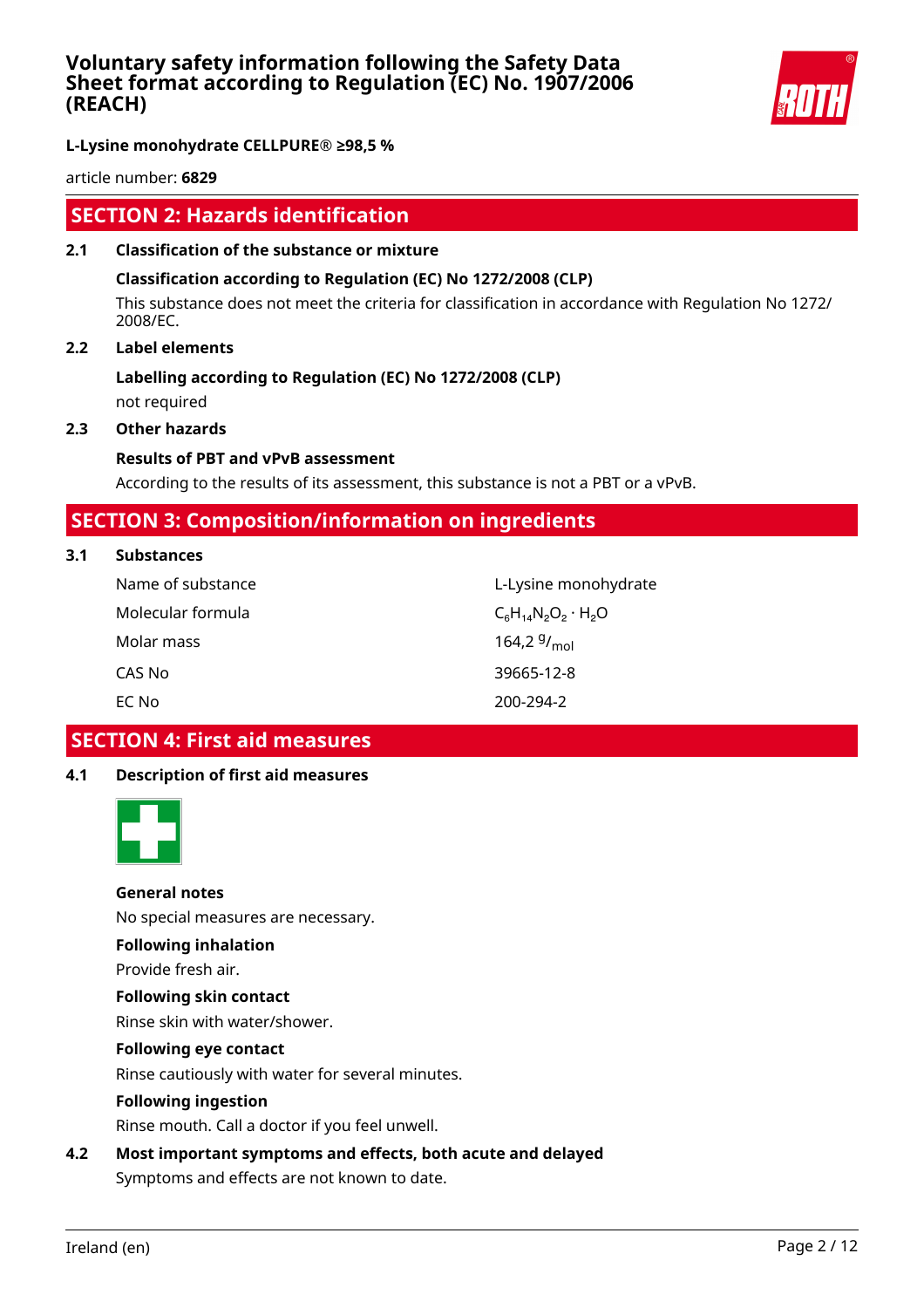

**L-Lysine monohydrate CELLPURE® ≥98,5 %**

article number: **6829**

# **SECTION 2: Hazards identification**

**2.1 Classification of the substance or mixture**

### **Classification according to Regulation (EC) No 1272/2008 (CLP)**

This substance does not meet the criteria for classification in accordance with Regulation No 1272/ 2008/EC.

### **2.2 Label elements**

# **Labelling according to Regulation (EC) No 1272/2008 (CLP)**

not required

# **2.3 Other hazards**

### **Results of PBT and vPvB assessment**

According to the results of its assessment, this substance is not a PBT or a vPvB.

# **SECTION 3: Composition/information on ingredients**

### **3.1 Substances**

| Name of substance | L-Lysine monohydrate         |
|-------------------|------------------------------|
| Molecular formula | $C_6H_{14}N_2O_2 \cdot H_2O$ |
| Molar mass        | 164,2 $9/_{mol}$             |
| CAS No            | 39665-12-8                   |
| EC No             | 200-294-2                    |

# **SECTION 4: First aid measures**

### **4.1 Description of first aid measures**



### **General notes**

No special measures are necessary.

### **Following inhalation**

Provide fresh air.

# **Following skin contact**

Rinse skin with water/shower.

### **Following eye contact**

Rinse cautiously with water for several minutes.

### **Following ingestion**

Rinse mouth. Call a doctor if you feel unwell.

## **4.2 Most important symptoms and effects, both acute and delayed**

Symptoms and effects are not known to date.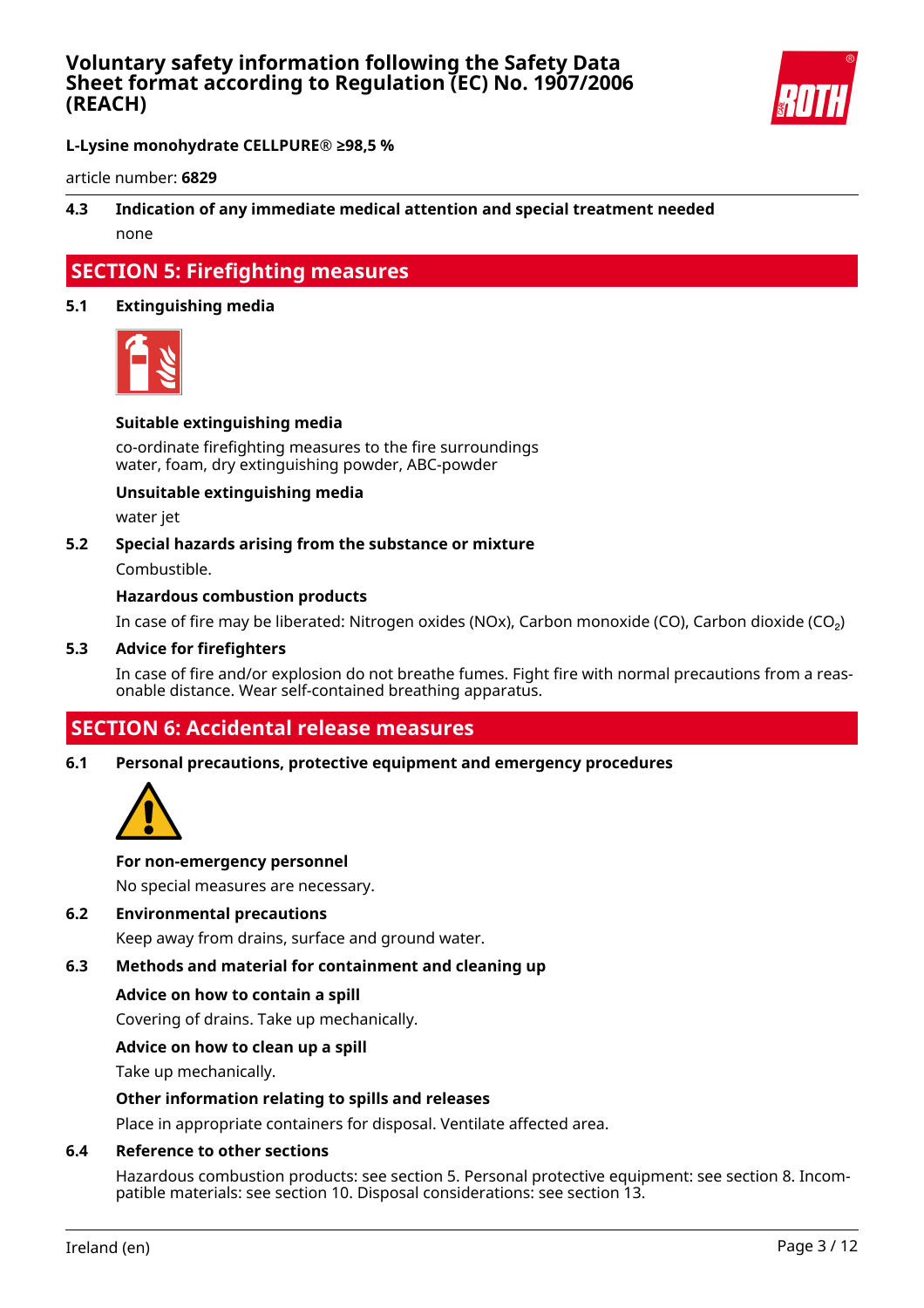

**L-Lysine monohydrate CELLPURE® ≥98,5 %**

article number: **6829**

# **4.3 Indication of any immediate medical attention and special treatment needed** none

# **SECTION 5: Firefighting measures**

### **5.1 Extinguishing media**



### **Suitable extinguishing media**

co-ordinate firefighting measures to the fire surroundings water, foam, dry extinguishing powder, ABC-powder

### **Unsuitable extinguishing media**

water jet

#### **5.2 Special hazards arising from the substance or mixture**

Combustible.

### **Hazardous combustion products**

In case of fire may be liberated: Nitrogen oxides (NOx), Carbon monoxide (CO), Carbon dioxide (CO₂)

#### **5.3 Advice for firefighters**

In case of fire and/or explosion do not breathe fumes. Fight fire with normal precautions from a reasonable distance. Wear self-contained breathing apparatus.

# **SECTION 6: Accidental release measures**

#### **6.1 Personal precautions, protective equipment and emergency procedures**



#### **For non-emergency personnel**

No special measures are necessary.

### **6.2 Environmental precautions**

Keep away from drains, surface and ground water.

### **6.3 Methods and material for containment and cleaning up**

#### **Advice on how to contain a spill**

Covering of drains. Take up mechanically.

### **Advice on how to clean up a spill**

Take up mechanically.

### **Other information relating to spills and releases**

Place in appropriate containers for disposal. Ventilate affected area.

### **6.4 Reference to other sections**

Hazardous combustion products: see section 5. Personal protective equipment: see section 8. Incompatible materials: see section 10. Disposal considerations: see section 13.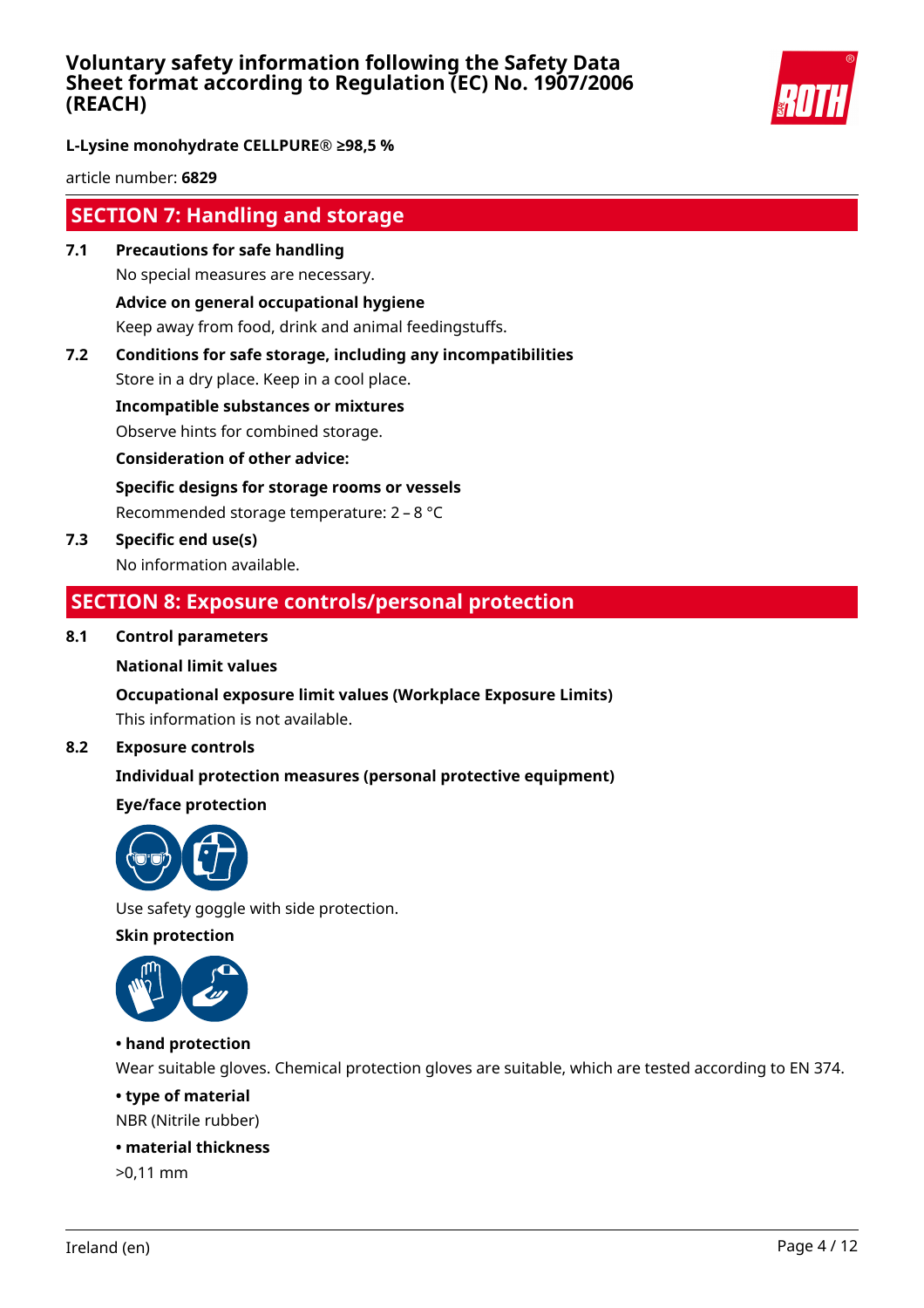

**L-Lysine monohydrate CELLPURE® ≥98,5 %**

article number: **6829**

# **SECTION 7: Handling and storage**

- **7.1 Precautions for safe handling** No special measures are necessary. **Advice on general occupational hygiene** Keep away from food, drink and animal feedingstuffs.
- **7.2 Conditions for safe storage, including any incompatibilities**

Store in a dry place. Keep in a cool place.

**Incompatible substances or mixtures**

Observe hints for combined storage.

**Consideration of other advice:**

**Specific designs for storage rooms or vessels**

Recommended storage temperature: 2 – 8 °C

**7.3 Specific end use(s)** No information available.

# **SECTION 8: Exposure controls/personal protection**

## **8.1 Control parameters**

### **National limit values**

## **Occupational exposure limit values (Workplace Exposure Limits)**

This information is not available.

### **8.2 Exposure controls**

## **Individual protection measures (personal protective equipment)**

## **Eye/face protection**



Use safety goggle with side protection.

**Skin protection**



## **• hand protection**

Wear suitable gloves. Chemical protection gloves are suitable, which are tested according to EN 374.

### **• type of material**

NBR (Nitrile rubber)

### **• material thickness**

>0,11 mm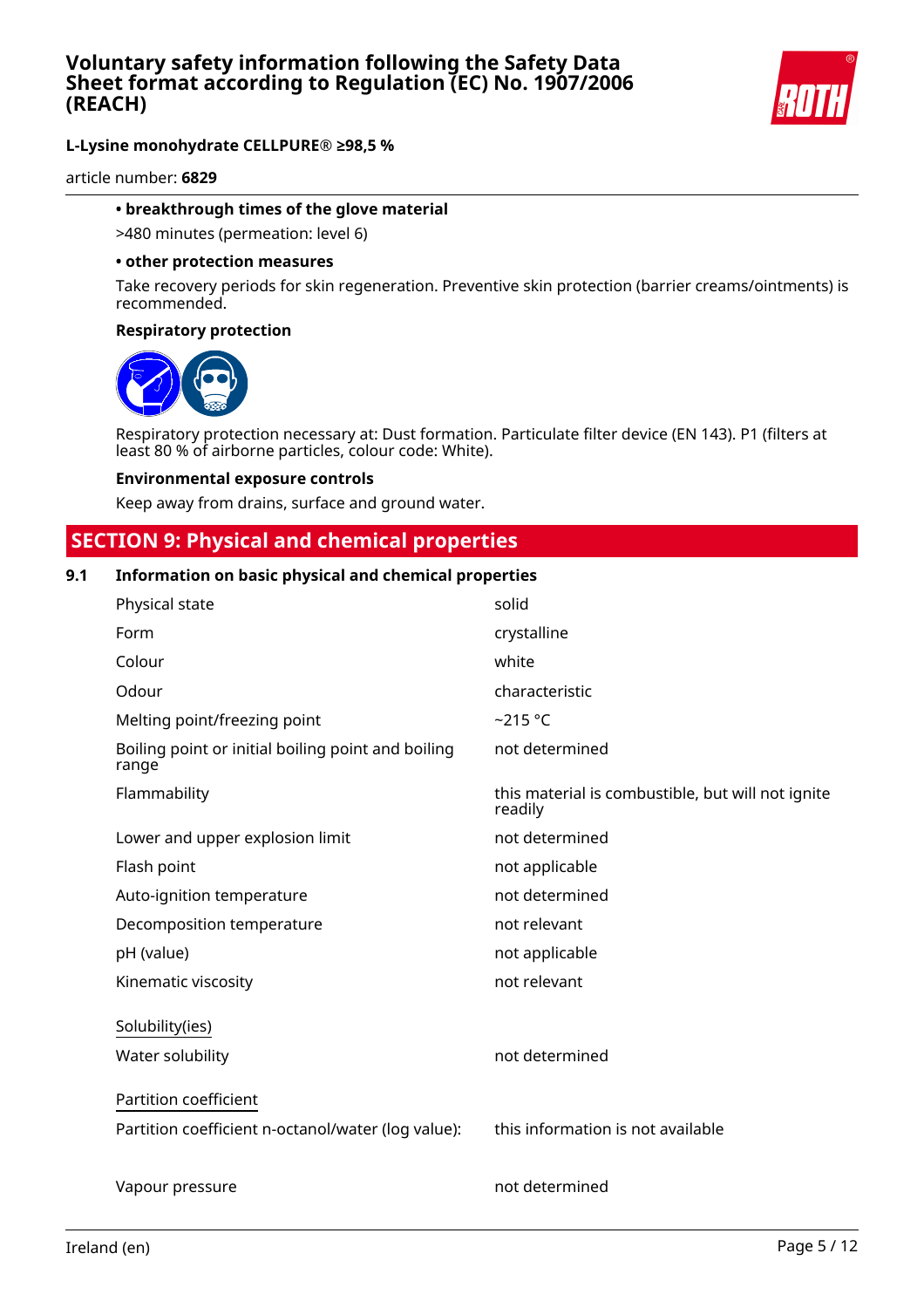

article number: **6829**

#### **• breakthrough times of the glove material**

>480 minutes (permeation: level 6)

#### **• other protection measures**

Take recovery periods for skin regeneration. Preventive skin protection (barrier creams/ointments) is recommended.

#### **Respiratory protection**



Respiratory protection necessary at: Dust formation. Particulate filter device (EN 143). P1 (filters at least 80 % of airborne particles, colour code: White).

#### **Environmental exposure controls**

Keep away from drains, surface and ground water.

# **SECTION 9: Physical and chemical properties**

### **9.1 Information on basic physical and chemical properties**

| Physical state                                              | solid                                                        |
|-------------------------------------------------------------|--------------------------------------------------------------|
| Form                                                        | crystalline                                                  |
| Colour                                                      | white                                                        |
| Odour                                                       | characteristic                                               |
| Melting point/freezing point                                | $-215$ °C                                                    |
| Boiling point or initial boiling point and boiling<br>range | not determined                                               |
| Flammability                                                | this material is combustible, but will not ignite<br>readily |
| Lower and upper explosion limit                             | not determined                                               |
| Flash point                                                 | not applicable                                               |
| Auto-ignition temperature                                   | not determined                                               |
| Decomposition temperature                                   | not relevant                                                 |
| pH (value)                                                  | not applicable                                               |
| Kinematic viscosity                                         | not relevant                                                 |
| Solubility(ies)                                             |                                                              |
| Water solubility                                            | not determined                                               |
| Partition coefficient                                       |                                                              |
| Partition coefficient n-octanol/water (log value):          | this information is not available                            |
| Vapour pressure                                             | not determined                                               |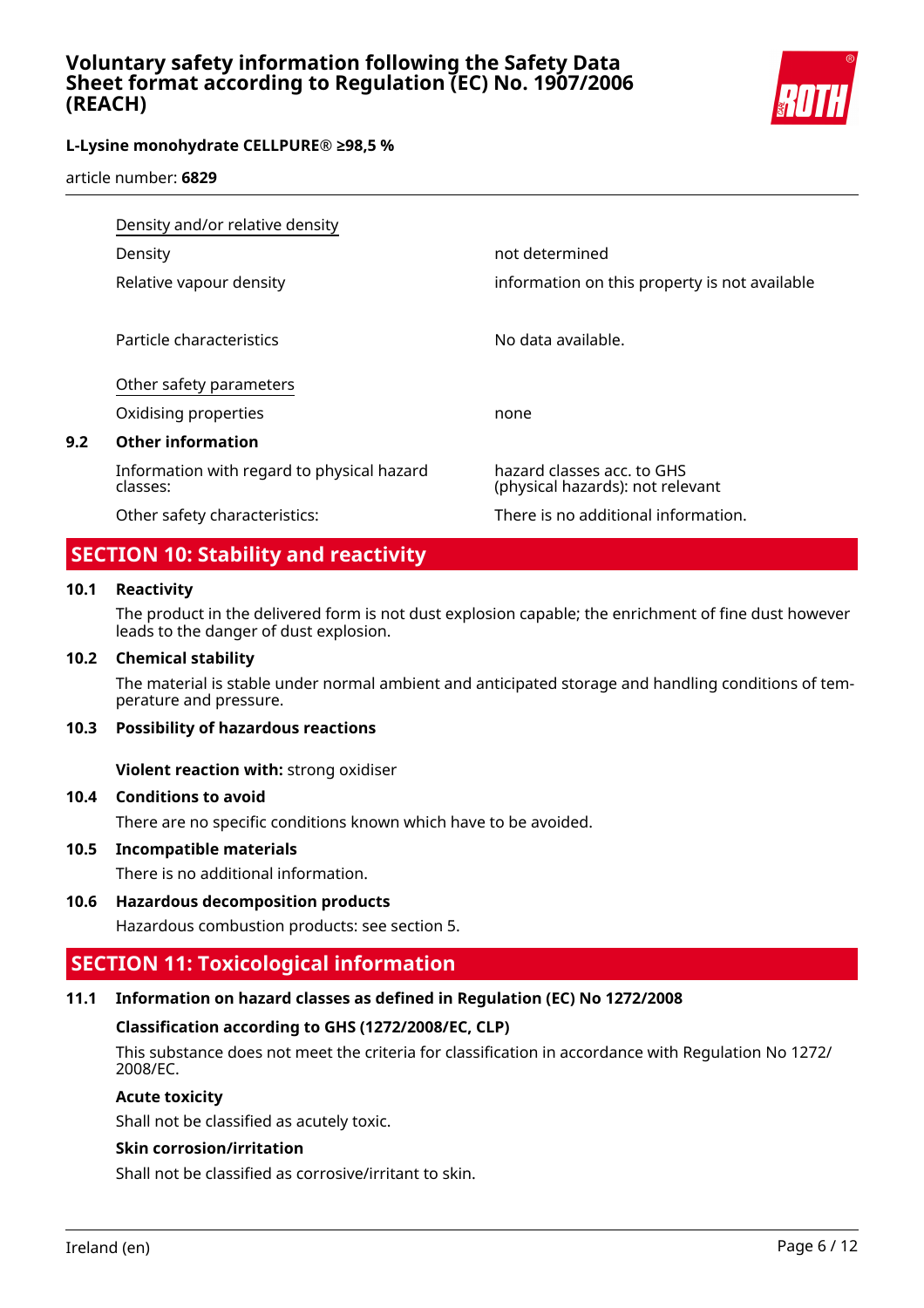

article number: **6829**

|     | Density and/or relative density                        |                                                                |  |
|-----|--------------------------------------------------------|----------------------------------------------------------------|--|
|     | Density                                                | not determined                                                 |  |
|     | Relative vapour density                                | information on this property is not available                  |  |
|     |                                                        |                                                                |  |
|     | Particle characteristics                               | No data available.                                             |  |
|     | Other safety parameters                                |                                                                |  |
|     | Oxidising properties                                   | none                                                           |  |
| 9.2 | <b>Other information</b>                               |                                                                |  |
|     | Information with regard to physical hazard<br>classes: | hazard classes acc. to GHS<br>(physical hazards): not relevant |  |
|     | Other safety characteristics:                          | There is no additional information.                            |  |

# **SECTION 10: Stability and reactivity**

### **10.1 Reactivity**

The product in the delivered form is not dust explosion capable; the enrichment of fine dust however leads to the danger of dust explosion.

### **10.2 Chemical stability**

The material is stable under normal ambient and anticipated storage and handling conditions of temperature and pressure.

### **10.3 Possibility of hazardous reactions**

**Violent reaction with:** strong oxidiser

### **10.4 Conditions to avoid**

There are no specific conditions known which have to be avoided.

### **10.5 Incompatible materials**

There is no additional information.

### **10.6 Hazardous decomposition products**

Hazardous combustion products: see section 5.

# **SECTION 11: Toxicological information**

### **11.1 Information on hazard classes as defined in Regulation (EC) No 1272/2008**

### **Classification according to GHS (1272/2008/EC, CLP)**

This substance does not meet the criteria for classification in accordance with Regulation No 1272/ 2008/EC.

### **Acute toxicity**

Shall not be classified as acutely toxic.

### **Skin corrosion/irritation**

Shall not be classified as corrosive/irritant to skin.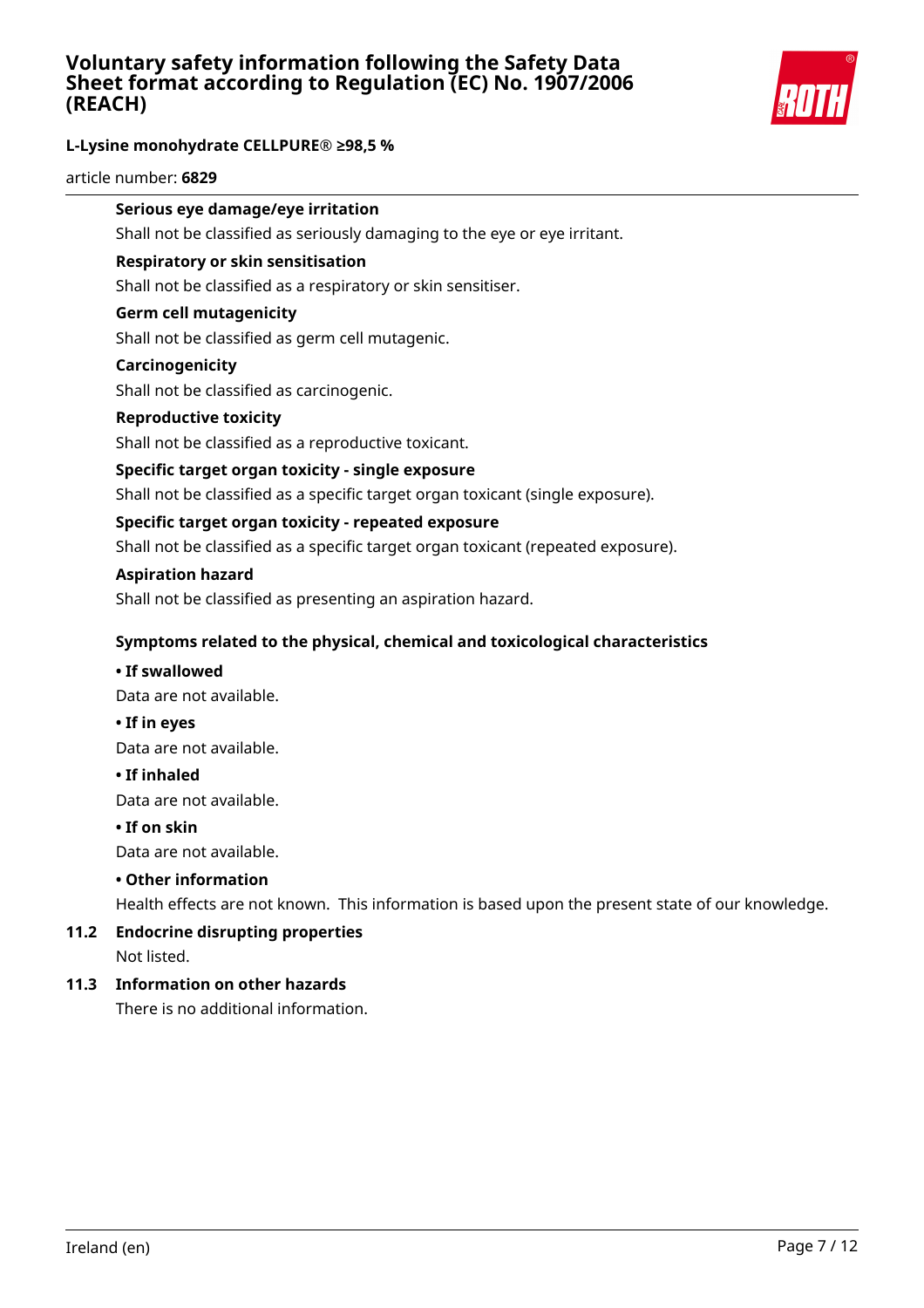

### **L-Lysine monohydrate CELLPURE® ≥98,5 %**

article number: **6829**

# **Serious eye damage/eye irritation**

Shall not be classified as seriously damaging to the eye or eye irritant.

### **Respiratory or skin sensitisation**

Shall not be classified as a respiratory or skin sensitiser.

### **Germ cell mutagenicity**

Shall not be classified as germ cell mutagenic.

#### **Carcinogenicity**

Shall not be classified as carcinogenic.

#### **Reproductive toxicity**

Shall not be classified as a reproductive toxicant.

### **Specific target organ toxicity - single exposure**

Shall not be classified as a specific target organ toxicant (single exposure).

### **Specific target organ toxicity - repeated exposure**

Shall not be classified as a specific target organ toxicant (repeated exposure).

#### **Aspiration hazard**

Shall not be classified as presenting an aspiration hazard.

### **Symptoms related to the physical, chemical and toxicological characteristics**

#### **• If swallowed**

Data are not available.

**• If in eyes**

Data are not available.

#### **• If inhaled**

Data are not available.

#### **• If on skin**

Data are not available.

### **• Other information**

Health effects are not known. This information is based upon the present state of our knowledge.

### **11.2 Endocrine disrupting properties** Not listed.

### **11.3 Information on other hazards**

There is no additional information.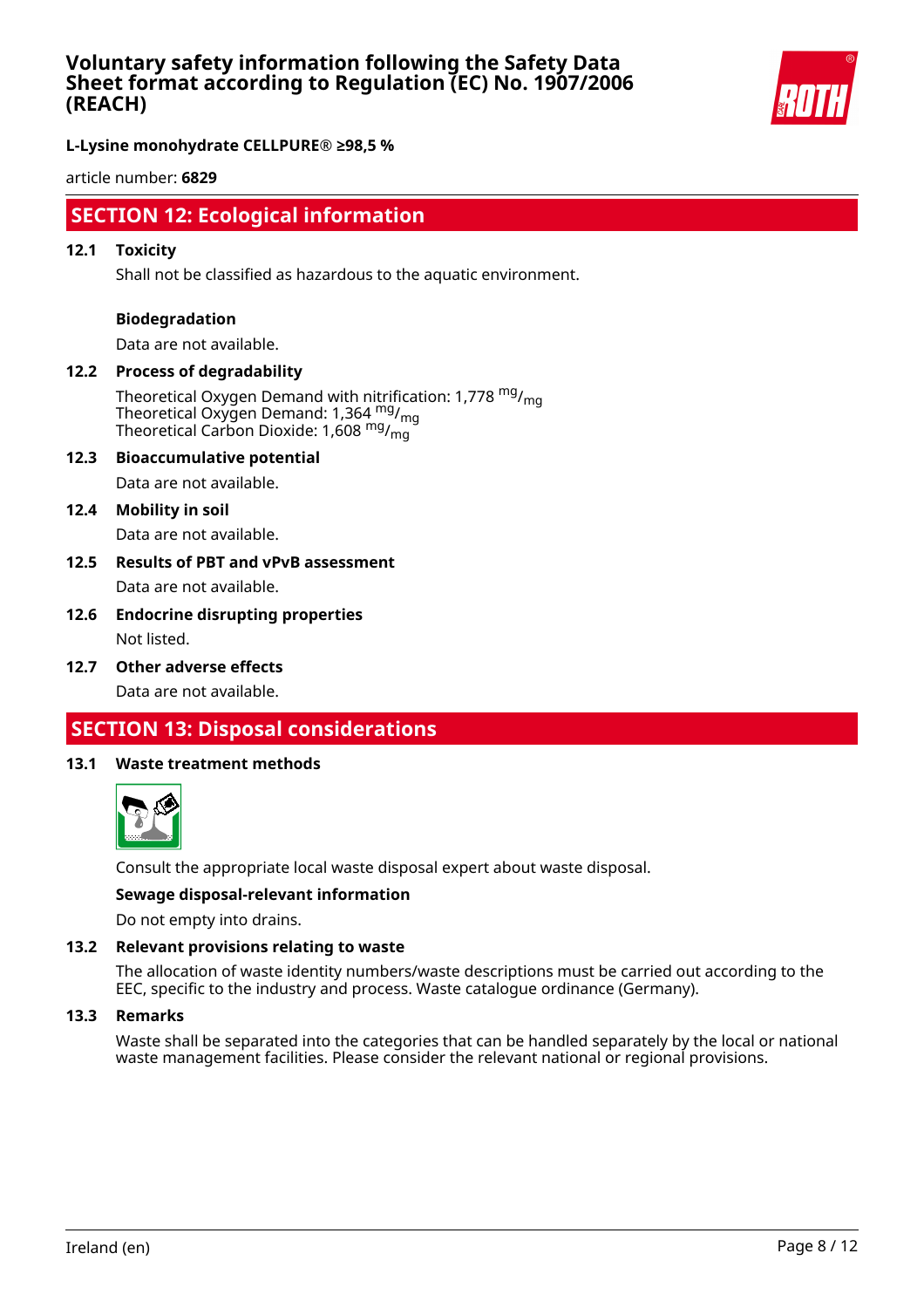

**L-Lysine monohydrate CELLPURE® ≥98,5 %**

article number: **6829**

# **SECTION 12: Ecological information**

### **12.1 Toxicity**

Shall not be classified as hazardous to the aquatic environment.

#### **Biodegradation**

Data are not available.

# **12.2 Process of degradability**

Theoretical Oxygen Demand with nitrification: 1,778  $mg/m<sub>on</sub>$ Theoretical Oxygen Demand: 1,364 <sup>mg</sup>/<sub>mg</sub> Theoretical Carbon Dioxide: 1,608 mg/mg

#### **12.3 Bioaccumulative potential**

Data are not available.

#### **12.4 Mobility in soil**

Data are not available.

### **12.5 Results of PBT and vPvB assessment** Data are not available.

### **12.6 Endocrine disrupting properties** Not listed.

**12.7 Other adverse effects**

Data are not available.

# **SECTION 13: Disposal considerations**

#### **13.1 Waste treatment methods**



Consult the appropriate local waste disposal expert about waste disposal.

#### **Sewage disposal-relevant information**

Do not empty into drains.

### **13.2 Relevant provisions relating to waste**

The allocation of waste identity numbers/waste descriptions must be carried out according to the EEC, specific to the industry and process. Waste catalogue ordinance (Germany).

#### **13.3 Remarks**

Waste shall be separated into the categories that can be handled separately by the local or national waste management facilities. Please consider the relevant national or regional provisions.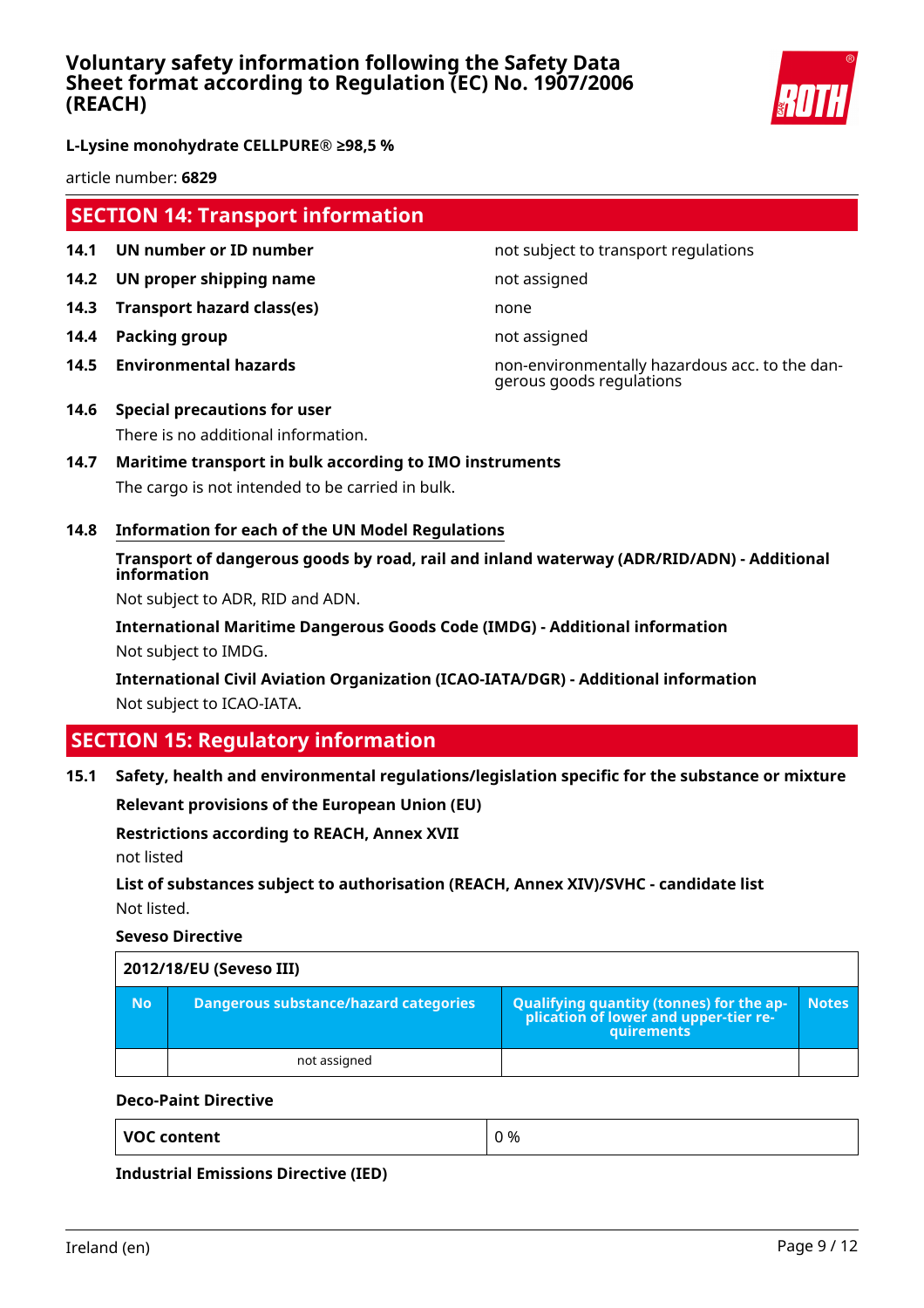

**L-Lysine monohydrate CELLPURE® ≥98,5 %**

article number: **6829**

# **SECTION 14: Transport information**

- **14.1 UN number or ID number not subject to transport regulations**
- **14.2 UN proper shipping name** not assigned
- **14.3 Transport hazard class(es)** none
- **14.4 Packing group not assigned**
- 

**14.5 Environmental hazards** non-environmentally hazardous acc. to the dangerous goods regulations

- **14.6 Special precautions for user** There is no additional information.
- **14.7 Maritime transport in bulk according to IMO instruments** The cargo is not intended to be carried in bulk.
- **14.8 Information for each of the UN Model Regulations**

# **Transport of dangerous goods by road, rail and inland waterway (ADR/RID/ADN) - Additional information**

Not subject to ADR, RID and ADN.

**International Maritime Dangerous Goods Code (IMDG) - Additional information** Not subject to IMDG.

**International Civil Aviation Organization (ICAO-IATA/DGR) - Additional information** Not subject to ICAO-IATA.

# **SECTION 15: Regulatory information**

### **15.1 Safety, health and environmental regulations/legislation specific for the substance or mixture**

**Relevant provisions of the European Union (EU)**

### **Restrictions according to REACH, Annex XVII**

not listed

## **List of substances subject to authorisation (REACH, Annex XIV)/SVHC - candidate list** Not listed.

**Seveso Directive**

|           | 2012/18/EU (Seveso III)               |                                                                                                   |              |  |
|-----------|---------------------------------------|---------------------------------------------------------------------------------------------------|--------------|--|
| <b>No</b> | Dangerous substance/hazard categories | Qualifying quantity (tonnes) for the application of lower and upper-tier re-<br><b>auirements</b> | <b>Notes</b> |  |
|           | not assigned                          |                                                                                                   |              |  |

### **Deco-Paint Directive**

**Industrial Emissions Directive (IED)**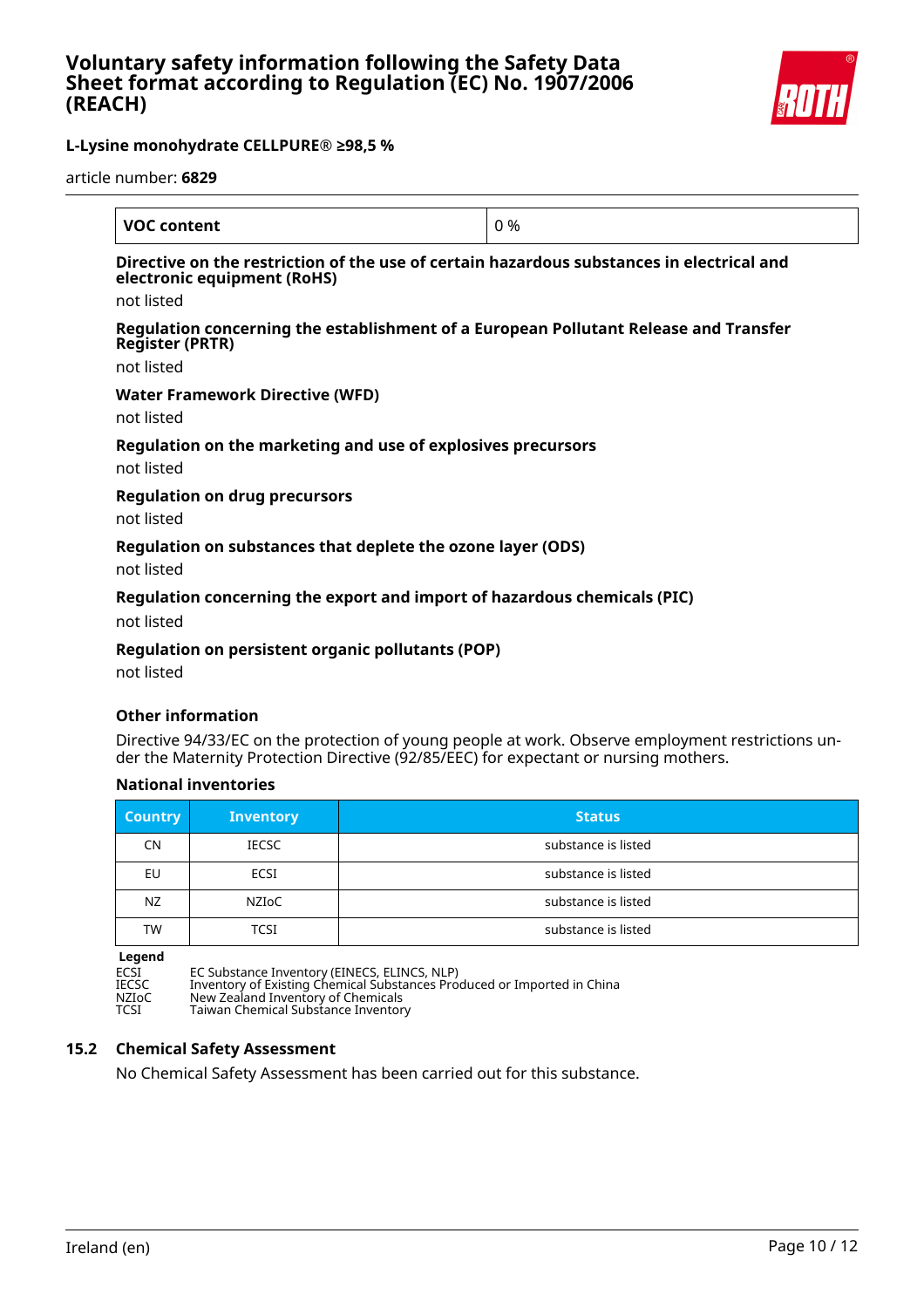

article number: **6829**

| <b>VOC content</b>                                                                                                                     | 0 % |
|----------------------------------------------------------------------------------------------------------------------------------------|-----|
| Directive on the restriction of the use of certain hazardous substances in electrical and<br>electronic equipment (RoHS)<br>not listed |     |
| Regulation concerning the establishment of a European Pollutant Release and Transfer<br><b>Register (PRTR)</b><br>not listed           |     |
| <b>Water Framework Directive (WFD)</b><br>not listed                                                                                   |     |
| Regulation on the marketing and use of explosives precursors<br>not listed                                                             |     |
| <b>Regulation on drug precursors</b><br>not listed                                                                                     |     |
| Regulation on substances that deplete the ozone layer (ODS)                                                                            |     |

not listed

### **Regulation concerning the export and import of hazardous chemicals (PIC)**

not listed

### **Regulation on persistent organic pollutants (POP)**

not listed

### **Other information**

Directive 94/33/EC on the protection of young people at work. Observe employment restrictions under the Maternity Protection Directive (92/85/EEC) for expectant or nursing mothers.

### **National inventories**

| <b>Country</b> | <b>Inventory</b> | <b>Status</b>       |
|----------------|------------------|---------------------|
| <b>CN</b>      | <b>IECSC</b>     | substance is listed |
| EU             | ECSI             | substance is listed |
| NZ.            | NZIoC            | substance is listed |
| <b>TW</b>      | TCSI             | substance is listed |

**Legend**

ECSI EC Substance Inventory (EINECS, ELINCS, NLP) IECSC Inventory of Existing Chemical Substances Produced or Imported in China NZIoC New Zealand Inventory of Chemicals TCSI Taiwan Chemical Substance Inventory

### **15.2 Chemical Safety Assessment**

No Chemical Safety Assessment has been carried out for this substance.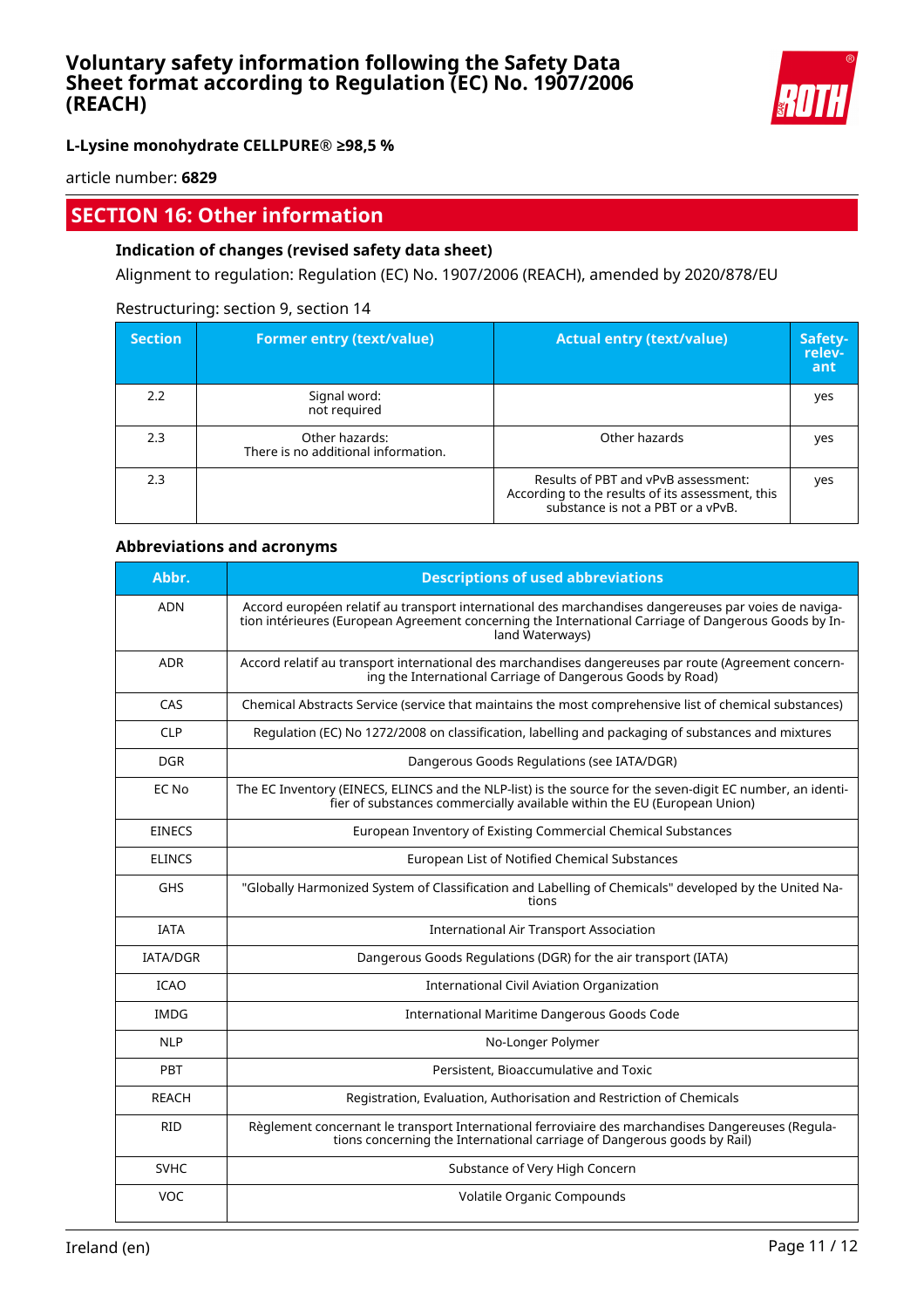

**L-Lysine monohydrate CELLPURE® ≥98,5 %**

article number: **6829**

# **SECTION 16: Other information**

## **Indication of changes (revised safety data sheet)**

Alignment to regulation: Regulation (EC) No. 1907/2006 (REACH), amended by 2020/878/EU

### Restructuring: section 9, section 14

| <b>Section</b> | <b>Former entry (text/value)</b>                      | <b>Actual entry (text/value)</b>                                                                                             | Safety-<br>relev-<br>ant |
|----------------|-------------------------------------------------------|------------------------------------------------------------------------------------------------------------------------------|--------------------------|
| 2.2            | Signal word:<br>not required                          |                                                                                                                              | yes                      |
| 2.3            | Other hazards:<br>There is no additional information. | Other hazards                                                                                                                | yes                      |
| 2.3            |                                                       | Results of PBT and vPvB assessment:<br>According to the results of its assessment, this<br>substance is not a PBT or a vPvB. | yes                      |

### **Abbreviations and acronyms**

| Abbr.           | <b>Descriptions of used abbreviations</b>                                                                                                                                                                                       |
|-----------------|---------------------------------------------------------------------------------------------------------------------------------------------------------------------------------------------------------------------------------|
| <b>ADN</b>      | Accord européen relatif au transport international des marchandises dangereuses par voies de naviga-<br>tion intérieures (European Agreement concerning the International Carriage of Dangerous Goods by In-<br>land Waterways) |
| <b>ADR</b>      | Accord relatif au transport international des marchandises dangereuses par route (Agreement concern-<br>ing the International Carriage of Dangerous Goods by Road)                                                              |
| CAS             | Chemical Abstracts Service (service that maintains the most comprehensive list of chemical substances)                                                                                                                          |
| <b>CLP</b>      | Regulation (EC) No 1272/2008 on classification, labelling and packaging of substances and mixtures                                                                                                                              |
| <b>DGR</b>      | Dangerous Goods Regulations (see IATA/DGR)                                                                                                                                                                                      |
| EC No           | The EC Inventory (EINECS, ELINCS and the NLP-list) is the source for the seven-digit EC number, an identi-<br>fier of substances commercially available within the EU (European Union)                                          |
| <b>EINECS</b>   | European Inventory of Existing Commercial Chemical Substances                                                                                                                                                                   |
| <b>ELINCS</b>   | European List of Notified Chemical Substances                                                                                                                                                                                   |
| <b>GHS</b>      | "Globally Harmonized System of Classification and Labelling of Chemicals" developed by the United Na-<br>tions                                                                                                                  |
| <b>IATA</b>     | <b>International Air Transport Association</b>                                                                                                                                                                                  |
| <b>IATA/DGR</b> | Dangerous Goods Regulations (DGR) for the air transport (IATA)                                                                                                                                                                  |
| <b>ICAO</b>     | International Civil Aviation Organization                                                                                                                                                                                       |
| <b>IMDG</b>     | International Maritime Dangerous Goods Code                                                                                                                                                                                     |
| <b>NLP</b>      | No-Longer Polymer                                                                                                                                                                                                               |
| PBT             | Persistent, Bioaccumulative and Toxic                                                                                                                                                                                           |
| <b>REACH</b>    | Registration, Evaluation, Authorisation and Restriction of Chemicals                                                                                                                                                            |
| <b>RID</b>      | Règlement concernant le transport International ferroviaire des marchandises Dangereuses (Regula-<br>tions concerning the International carriage of Dangerous goods by Rail)                                                    |
| <b>SVHC</b>     | Substance of Very High Concern                                                                                                                                                                                                  |
| <b>VOC</b>      | Volatile Organic Compounds                                                                                                                                                                                                      |